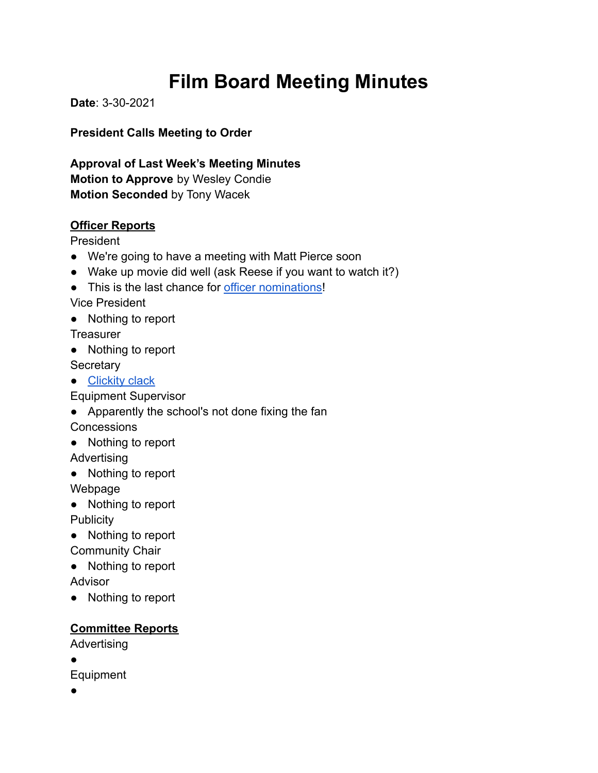# **Film Board Meeting Minutes**

**Date**: 3-30-2021

**President Calls Meeting to Order**

**Approval of Last Week's Meeting Minutes Motion to Approve** by Wesley Condie **Motion Seconded** by Tony Wacek

## **Officer Reports**

President

- We're going to have a meeting with Matt Pierce soon
- Wake up movie did well (ask Reese if you want to watch it?)
- This is the last chance for [officer nominations!](https://docs.google.com/forms/d/e/1FAIpQLSe1ZKLNViL19eGLf2_UIKfHBBWqbG2qIXqOirmwcdK8aLheKQ/viewform)

Vice President

● Nothing to report

**Treasurer** 

● Nothing to report

**Secretary** 

● [Clickity clack](https://youtu.be/JuDLepNa7hw)

Equipment Supervisor

● Apparently the school's not done fixing the fan

Concessions

● Nothing to report

Advertising

● Nothing to report

Webpage

- Nothing to report **Publicity**
- Nothing to report

Community Chair

- Nothing to report **Advisor**
- Nothing to report

## **Committee Reports**

Advertising

●

- Equipment
- ●